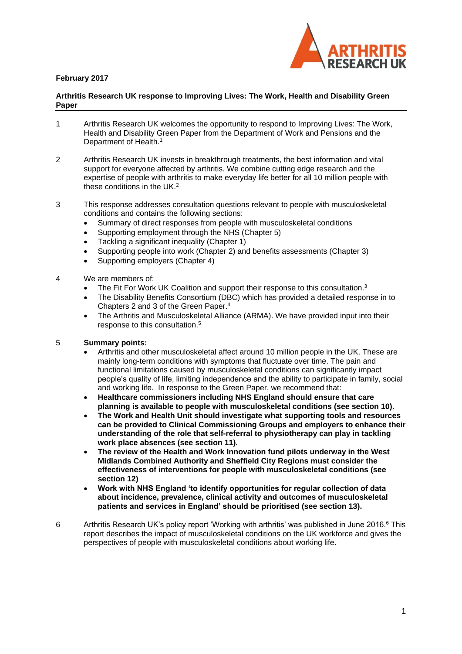

# **February 2017**

#### **Arthritis Research UK response to Improving Lives: The Work, Health and Disability Green Paper**

- 1 Arthritis Research UK welcomes the opportunity to respond to Improving Lives: The Work, Health and Disability Green Paper from the Department of Work and Pensions and the Department of Health.<sup>1</sup>
- 2 Arthritis Research UK invests in breakthrough treatments, the best information and vital support for everyone affected by arthritis. We combine cutting edge research and the expertise of people with arthritis to make everyday life better for all 10 million people with these conditions in the UK.<sup>2</sup>
- 3 This response addresses consultation questions relevant to people with musculoskeletal conditions and contains the following sections:
	- Summary of direct responses from people with musculoskeletal conditions
	- Supporting employment through the NHS (Chapter 5)
	- Tackling a significant inequality (Chapter 1)
	- Supporting people into work (Chapter 2) and benefits assessments (Chapter 3)
	- Supporting employers (Chapter 4)
- 4 We are members of:
	- The Fit For Work UK Coalition and support their response to this consultation.<sup>3</sup>
	- The Disability Benefits Consortium (DBC) which has provided a detailed response in to Chapters 2 and 3 of the Green Paper.<sup>4</sup>
	- The Arthritis and Musculoskeletal Alliance (ARMA). We have provided input into their response to this consultation.<sup>5</sup>

## 5 **Summary points:**

- Arthritis and other musculoskeletal affect around 10 million people in the UK. These are mainly long-term conditions with symptoms that fluctuate over time. The pain and functional limitations caused by musculoskeletal conditions can significantly impact people's quality of life, limiting independence and the ability to participate in family, social and working life. In response to the Green Paper, we recommend that:
- **Healthcare commissioners including NHS England should ensure that care planning is available to people with musculoskeletal conditions (see section 10).**
- **The Work and Health Unit should investigate what supporting tools and resources can be provided to Clinical Commissioning Groups and employers to enhance their understanding of the role that self-referral to physiotherapy can play in tackling work place absences (see section 11).**
- **The review of the Health and Work Innovation fund pilots underway in the West Midlands Combined Authority and Sheffield City Regions must consider the effectiveness of interventions for people with musculoskeletal conditions (see section 12)**
- **Work with NHS England 'to identify opportunities for regular collection of data about incidence, prevalence, clinical activity and outcomes of musculoskeletal patients and services in England' should be prioritised (see section 13).**
- 6 Arthritis Research UK's policy report 'Working with arthritis' was published in June 2016.<sup>6</sup> This report describes the impact of musculoskeletal conditions on the UK workforce and gives the perspectives of people with musculoskeletal conditions about working life.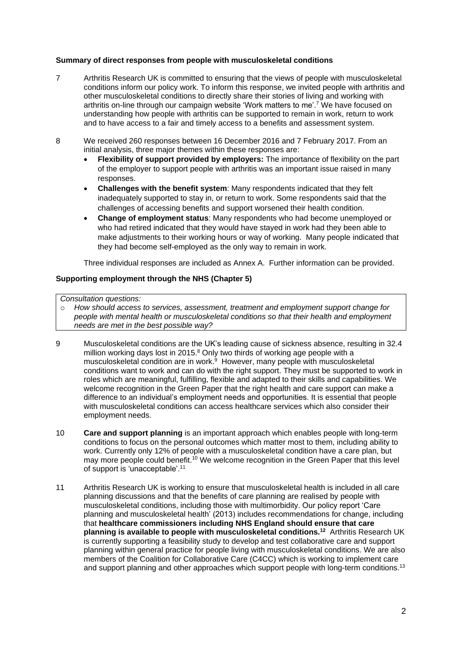## **Summary of direct responses from people with musculoskeletal conditions**

- 7 Arthritis Research UK is committed to ensuring that the views of people with musculoskeletal conditions inform our policy work. To inform this response, we invited people with arthritis and other musculoskeletal conditions to directly share their stories of living and working with arthritis on-line through our campaign website 'Work matters to me'.<sup>7</sup> We have focused on understanding how people with arthritis can be supported to remain in work, return to work and to have access to a fair and timely access to a benefits and assessment system.
- 8 We received 260 responses between 16 December 2016 and 7 February 2017. From an initial analysis, three major themes within these responses are:
	- **Flexibility of support provided by employers:** The importance of flexibility on the part of the employer to support people with arthritis was an important issue raised in many responses.
	- **Challenges with the benefit system**: Many respondents indicated that they felt inadequately supported to stay in, or return to work. Some respondents said that the challenges of accessing benefits and support worsened their health condition.
	- **Change of employment status**: Many respondents who had become unemployed or who had retired indicated that they would have stayed in work had they been able to make adjustments to their working hours or way of working. Many people indicated that they had become self-employed as the only way to remain in work.

Three individual responses are included as Annex A. Further information can be provided.

## **Supporting employment through the NHS (Chapter 5)**

#### *Consultation questions:*

o *How should access to services, assessment, treatment and employment support change for people with mental health or musculoskeletal conditions so that their health and employment needs are met in the best possible way?* 

- 9 Musculoskeletal conditions are the UK's leading cause of sickness absence, resulting in 32.4 million working days lost in 2015.<sup>8</sup> Only two thirds of working age people with a musculoskeletal condition are in work. <sup>9</sup> However, many people with musculoskeletal conditions want to work and can do with the right support. They must be supported to work in roles which are meaningful, fulfilling, flexible and adapted to their skills and capabilities. We welcome recognition in the Green Paper that the right health and care support can make a difference to an individual's employment needs and opportunities. It is essential that people with musculoskeletal conditions can access healthcare services which also consider their employment needs.
- 10 **Care and support planning** is an important approach which enables people with long-term conditions to focus on the personal outcomes which matter most to them, including ability to work. Currently only 12% of people with a musculoskeletal condition have a care plan, but may more people could benefit.<sup>10</sup> We welcome recognition in the Green Paper that this level of support is 'unacceptable'. 11
- 11 Arthritis Research UK is working to ensure that musculoskeletal health is included in all care planning discussions and that the benefits of care planning are realised by people with musculoskeletal conditions, including those with multimorbidity. Our policy report 'Care planning and musculoskeletal health' (2013) includes recommendations for change, including that **healthcare commissioners including NHS England should ensure that care planning is available to people with musculoskeletal conditions.<sup>12</sup>** Arthritis Research UK is currently supporting a feasibility study to develop and test collaborative care and support planning within general practice for people living with musculoskeletal conditions. We are also members of the Coalition for Collaborative Care (C4CC) which is working to implement care and support planning and other approaches which support people with long-term conditions.<sup>13</sup>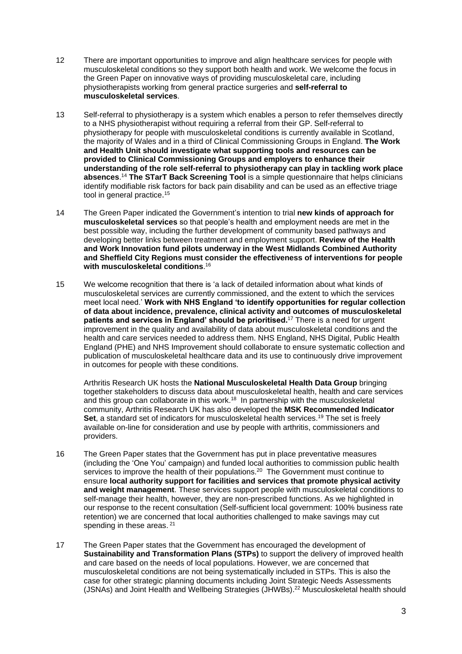- 12 There are important opportunities to improve and align healthcare services for people with musculoskeletal conditions so they support both health and work. We welcome the focus in the Green Paper on innovative ways of providing musculoskeletal care, including physiotherapists working from general practice surgeries and **self-referral to musculoskeletal services**.
- 13 Self-referral to physiotherapy is a system which enables a person to refer themselves directly to a NHS physiotherapist without requiring a referral from their GP. Self-referral to physiotherapy for people with musculoskeletal conditions is currently available in Scotland, the majority of Wales and in a third of Clinical Commissioning Groups in England. **The Work and Health Unit should investigate what supporting tools and resources can be provided to Clinical Commissioning Groups and employers to enhance their understanding of the role self-referral to physiotherapy can play in tackling work place absences**. <sup>14</sup> **The STarT Back Screening Tool** is a simple questionnaire that helps clinicians identify modifiable risk factors for back pain disability and can be used as an effective triage tool in general practice.<sup>15</sup>
- 14 The Green Paper indicated the Government's intention to trial **new kinds of approach for musculoskeletal services** so that people's health and employment needs are met in the best possible way, including the further development of community based pathways and developing better links between treatment and employment support. **Review of the Health and Work Innovation fund pilots underway in the West Midlands Combined Authority and Sheffield City Regions must consider the effectiveness of interventions for people with musculoskeletal conditions**. 16
- 15 We welcome recognition that there is 'a lack of detailed information about what kinds of musculoskeletal services are currently commissioned, and the extent to which the services meet local need.' **Work with NHS England 'to identify opportunities for regular collection of data about incidence, prevalence, clinical activity and outcomes of musculoskeletal patients and services in England' should be prioritised.** <sup>17</sup> There is a need for urgent improvement in the quality and availability of data about musculoskeletal conditions and the health and care services needed to address them. NHS England, NHS Digital, Public Health England (PHE) and NHS Improvement should collaborate to ensure systematic collection and publication of musculoskeletal healthcare data and its use to continuously drive improvement in outcomes for people with these conditions.

Arthritis Research UK hosts the **National Musculoskeletal Health Data Group** bringing together stakeholders to discuss data about musculoskeletal health, health and care services and this group can collaborate in this work.<sup>18</sup> In partnership with the musculoskeletal community, Arthritis Research UK has also developed the **MSK Recommended Indicator Set**, a standard set of indicators for musculoskeletal health services.<sup>19</sup> The set is freely available on-line for consideration and use by people with arthritis, commissioners and providers.

- 16 The Green Paper states that the Government has put in place preventative measures (including the 'One You' campaign) and funded local authorities to commission public health services to improve the health of their populations.<sup>20</sup> The Government must continue to ensure **local authority support for facilities and services that promote physical activity and weight management**. These services support people with musculoskeletal conditions to self-manage their health, however, they are non-prescribed functions. As we highlighted in our response to the recent consultation (Self-sufficient local government: 100% business rate retention) we are concerned that local authorities challenged to make savings may cut spending in these areas. <sup>21</sup>
- 17 The Green Paper states that the Government has encouraged the development of **Sustainability and Transformation Plans (STPs)** to support the delivery of improved health and care based on the needs of local populations. However, we are concerned that musculoskeletal conditions are not being systematically included in STPs. This is also the case for other strategic planning documents including Joint Strategic Needs Assessments (JSNAs) and Joint Health and Wellbeing Strategies (JHWBs).<sup>22</sup> Musculoskeletal health should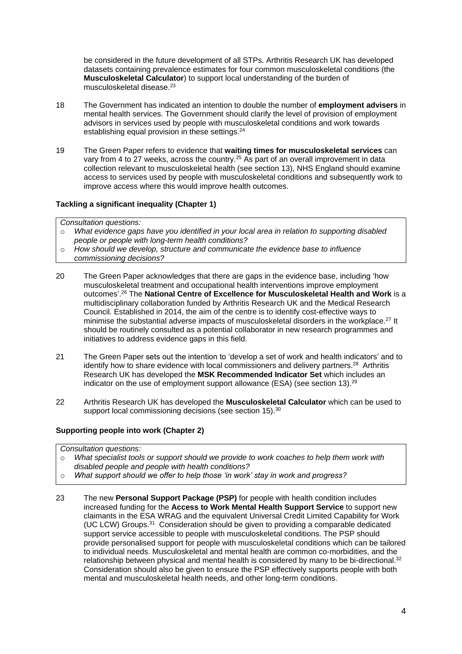be considered in the future development of all STPs. Arthritis Research UK has developed datasets containing prevalence estimates for four common musculoskeletal conditions (the **Musculoskeletal Calculator**) to support local understanding of the burden of musculoskeletal disease.<sup>23</sup>

- 18 The Government has indicated an intention to double the number of **employment advisers** in mental health services. The Government should clarify the level of provision of employment advisors in services used by people with musculoskeletal conditions and work towards establishing equal provision in these settings.<sup>24</sup>
- 19 The Green Paper refers to evidence that **waiting times for musculoskeletal services** can vary from 4 to 27 weeks, across the country.<sup>25</sup> As part of an overall improvement in data collection relevant to musculoskeletal health (see section 13), NHS England should examine access to services used by people with musculoskeletal conditions and subsequently work to improve access where this would improve health outcomes.

## **Tackling a significant inequality (Chapter 1)**

#### *Consultation questions:*

- o *What evidence gaps have you identified in your local area in relation to supporting disabled people or people with long-term health conditions?*
- o *How should we develop, structure and communicate the evidence base to influence commissioning decisions?*
- 20 The Green Paper acknowledges that there are gaps in the evidence base, including 'how musculoskeletal treatment and occupational health interventions improve employment outcomes'. <sup>26</sup> The **National Centre of Excellence for Musculoskeletal Health and Work** is a multidisciplinary collaboration funded by Arthritis Research UK and the Medical Research Council. Established in 2014, the aim of the centre is to identify cost-effective ways to minimise the substantial adverse impacts of musculoskeletal disorders in the workplace.<sup>27</sup> It should be routinely consulted as a potential collaborator in new research programmes and initiatives to address evidence gaps in this field.
- 21 The Green Paper sets out the intention to 'develop a set of work and health indicators' and to identify how to share evidence with local commissioners and delivery partners.<sup>28</sup> Arthritis Research UK has developed the **MSK Recommended Indicator Set** which includes an indicator on the use of employment support allowance (ESA) (see section 13).<sup>29</sup>
- 22 Arthritis Research UK has developed the **Musculoskeletal Calculator** which can be used to support local commissioning decisions (see section 15).<sup>30</sup>

# **Supporting people into work (Chapter 2)**

*Consultation questions:*

- o *What specialist tools or support should we provide to work coaches to help them work with disabled people and people with health conditions?*
- o *What support should we offer to help those 'in work' stay in work and progress?*
- 23 The new **Personal Support Package (PSP)** for people with health condition includes increased funding for the **Access to Work Mental Health Support Service** to support new claimants in the ESA WRAG and the equivalent Universal Credit Limited Capability for Work (UC LCW) Groups.<sup>31</sup> Consideration should be given to providing a comparable dedicated support service accessible to people with musculoskeletal conditions. The PSP should provide personalised support for people with musculoskeletal conditions which can be tailored to individual needs. Musculoskeletal and mental health are common co-morbidities, and the relationship between physical and mental health is considered by many to be bi-directional.<sup>32</sup> Consideration should also be given to ensure the PSP effectively supports people with both mental and musculoskeletal health needs, and other long-term conditions.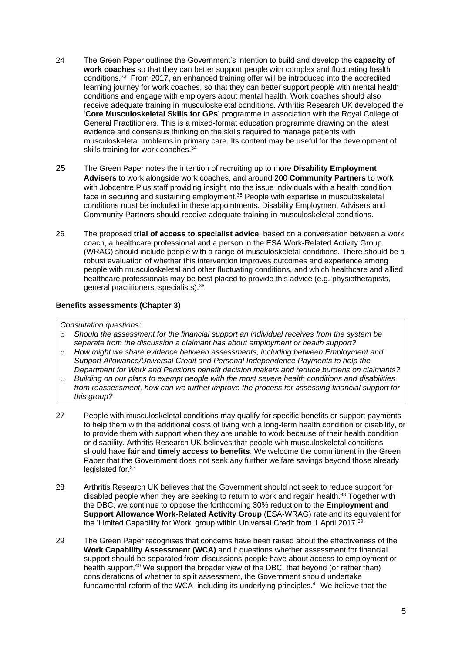- 24 The Green Paper outlines the Government's intention to build and develop the **capacity of work coaches** so that they can better support people with complex and fluctuating health conditions.<sup>33</sup> From 2017, an enhanced training offer will be introduced into the accredited learning journey for work coaches, so that they can better support people with mental health conditions and engage with employers about mental health. Work coaches should also receive adequate training in musculoskeletal conditions. Arthritis Research UK developed the '**Core Musculoskeletal Skills for GPs**' programme in association with the Royal College of General Practitioners. This is a mixed-format education programme drawing on the latest evidence and consensus thinking on the skills required to manage patients with musculoskeletal problems in primary care. Its content may be useful for the development of skills training for work coaches.<sup>34</sup>
- 25 The Green Paper notes the intention of recruiting up to more **Disability Employment Advisers** to work alongside work coaches, and around 200 **Community Partners** to work with Jobcentre Plus staff providing insight into the issue individuals with a health condition face in securing and sustaining employment.<sup>35</sup> People with expertise in musculoskeletal conditions must be included in these appointments. Disability Employment Advisers and Community Partners should receive adequate training in musculoskeletal conditions.
- 26 The proposed **trial of access to specialist advice**, based on a conversation between a work coach, a healthcare professional and a person in the ESA Work-Related Activity Group (WRAG) should include people with a range of musculoskeletal conditions. There should be a robust evaluation of whether this intervention improves outcomes and experience among people with musculoskeletal and other fluctuating conditions, and which healthcare and allied healthcare professionals may be best placed to provide this advice (e.g. physiotherapists, general practitioners, specialists).<sup>36</sup>

# **Benefits assessments (Chapter 3)**

#### *Consultation questions:*

- o *Should the assessment for the financial support an individual receives from the system be separate from the discussion a claimant has about employment or health support?*
- o *How might we share evidence between assessments, including between Employment and Support Allowance/Universal Credit and Personal Independence Payments to help the Department for Work and Pensions benefit decision makers and reduce burdens on claimants?*
- o *Building on our plans to exempt people with the most severe health conditions and disabilities from reassessment, how can we further improve the process for assessing financial support for this group?*
- 27 People with musculoskeletal conditions may qualify for specific benefits or support payments to help them with the additional costs of living with a long-term health condition or disability, or to provide them with support when they are unable to work because of their health condition or disability. Arthritis Research UK believes that people with musculoskeletal conditions should have **fair and timely access to benefits**. We welcome the commitment in the Green Paper that the Government does not seek any further welfare savings beyond those already legislated for.<sup>37</sup>
- 28 Arthritis Research UK believes that the Government should not seek to reduce support for disabled people when they are seeking to return to work and regain health.<sup>38</sup> Together with the DBC, we continue to oppose the forthcoming 30% reduction to the **Employment and Support Allowance Work-Related Activity Group** (ESA-WRAG) rate and its equivalent for the 'Limited Capability for Work' group within Universal Credit from 1 April 2017.<sup>39</sup>
- 29 The Green Paper recognises that concerns have been raised about the effectiveness of the **Work Capability Assessment (WCA)** and it questions whether assessment for financial support should be separated from discussions people have about access to employment or health support.<sup>40</sup> We support the broader view of the DBC, that beyond (or rather than) considerations of whether to split assessment, the Government should undertake fundamental reform of the WCA including its underlying principles.<sup>41</sup> We believe that the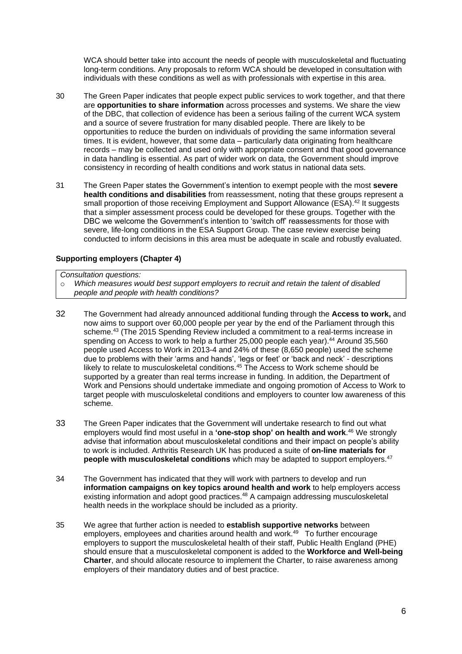WCA should better take into account the needs of people with musculoskeletal and fluctuating long-term conditions. Any proposals to reform WCA should be developed in consultation with individuals with these conditions as well as with professionals with expertise in this area.

- 30 The Green Paper indicates that people expect public services to work together, and that there are **opportunities to share information** across processes and systems. We share the view of the DBC, that collection of evidence has been a serious failing of the current WCA system and a source of severe frustration for many disabled people. There are likely to be opportunities to reduce the burden on individuals of providing the same information several times. It is evident, however, that some data – particularly data originating from healthcare records – may be collected and used only with appropriate consent and that good governance in data handling is essential. As part of wider work on data, the Government should improve consistency in recording of health conditions and work status in national data sets.
- 31 The Green Paper states the Government's intention to exempt people with the most **severe health conditions and disabilities** from reassessment, noting that these groups represent a small proportion of those receiving Employment and Support Allowance (ESA).<sup>42</sup> It suggests that a simpler assessment process could be developed for these groups. Together with the DBC we welcome the Government's intention to 'switch off' reassessments for those with severe, life-long conditions in the ESA Support Group. The case review exercise being conducted to inform decisions in this area must be adequate in scale and robustly evaluated.

## **Supporting employers (Chapter 4)**

*Consultation questions:*

- o *Which measures would best support employers to recruit and retain the talent of disabled people and people with health conditions?*
- 32 The Government had already announced additional funding through the **Access to work,** and now aims to support over 60,000 people per year by the end of the Parliament through this scheme.<sup>43</sup> (The 2015 Spending Review included a commitment to a real-terms increase in spending on Access to work to help a further 25,000 people each year). <sup>44</sup> Around 35,560 people used Access to Work in 2013-4 and 24% of these (8,650 people) used the scheme due to problems with their 'arms and hands', 'legs or feet' or 'back and neck' - descriptions likely to relate to musculoskeletal conditions.<sup>45</sup> The Access to Work scheme should be supported by a greater than real terms increase in funding. In addition, the Department of Work and Pensions should undertake immediate and ongoing promotion of Access to Work to target people with musculoskeletal conditions and employers to counter low awareness of this scheme.
- 33 The Green Paper indicates that the Government will undertake research to find out what employers would find most useful in a **'one-stop shop' on health and work**. <sup>46</sup> We strongly advise that information about musculoskeletal conditions and their impact on people's ability to work is included. Arthritis Research UK has produced a suite of **on-line materials for people with musculoskeletal conditions** which may be adapted to support employers.<sup>47</sup>
- 34 The Government has indicated that they will work with partners to develop and run **information campaigns on key topics around health and work** to help employers access existing information and adopt good practices.<sup>48</sup> A campaign addressing musculoskeletal health needs in the workplace should be included as a priority.
- 35 We agree that further action is needed to **establish supportive networks** between employers, employees and charities around health and work.<sup>49</sup> To further encourage employers to support the musculoskeletal health of their staff, Public Health England (PHE) should ensure that a musculoskeletal component is added to the **Workforce and Well-being Charter**, and should allocate resource to implement the Charter, to raise awareness among employers of their mandatory duties and of best practice.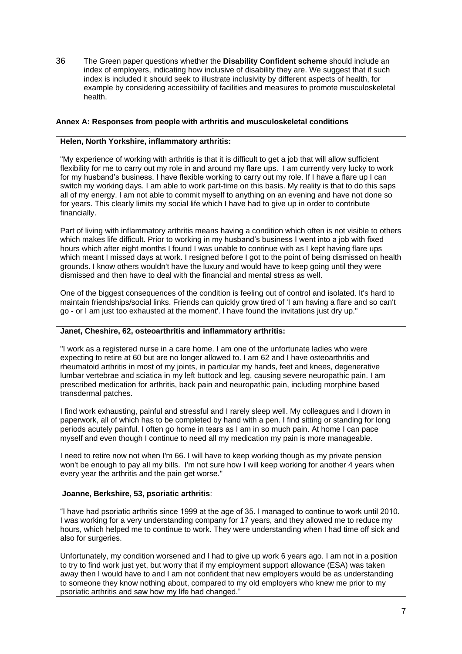36 The Green paper questions whether the **Disability Confident scheme** should include an index of employers, indicating how inclusive of disability they are. We suggest that if such index is included it should seek to illustrate inclusivity by different aspects of health, for example by considering accessibility of facilities and measures to promote musculoskeletal health.

# **Annex A: Responses from people with arthritis and musculoskeletal conditions**

# **Helen, North Yorkshire, inflammatory arthritis:**

"My experience of working with arthritis is that it is difficult to get a job that will allow sufficient flexibility for me to carry out my role in and around my flare ups. I am currently very lucky to work for my husband's business. I have flexible working to carry out my role. If I have a flare up I can switch my working days. I am able to work part-time on this basis. My reality is that to do this saps all of my energy. I am not able to commit myself to anything on an evening and have not done so for years. This clearly limits my social life which I have had to give up in order to contribute financially.

Part of living with inflammatory arthritis means having a condition which often is not visible to others which makes life difficult. Prior to working in my husband's business I went into a job with fixed hours which after eight months I found I was unable to continue with as I kept having flare ups which meant I missed days at work. I resigned before I got to the point of being dismissed on health grounds. I know others wouldn't have the luxury and would have to keep going until they were dismissed and then have to deal with the financial and mental stress as well.

One of the biggest consequences of the condition is feeling out of control and isolated. It's hard to maintain friendships/social links. Friends can quickly grow tired of 'I am having a flare and so can't go - or I am just too exhausted at the moment'. I have found the invitations just dry up."

# **Janet, Cheshire, 62, osteoarthritis and inflammatory arthritis:**

"I work as a registered nurse in a care home. I am one of the unfortunate ladies who were expecting to retire at 60 but are no longer allowed to. I am 62 and I have osteoarthritis and rheumatoid arthritis in most of my joints, in particular my hands, feet and knees, degenerative lumbar vertebrae and sciatica in my left buttock and leg, causing severe neuropathic pain. I am prescribed medication for arthritis, back pain and neuropathic pain, including morphine based transdermal patches.

I find work exhausting, painful and stressful and I rarely sleep well. My colleagues and I drown in paperwork, all of which has to be completed by hand with a pen. I find sitting or standing for long periods acutely painful. I often go home in tears as I am in so much pain. At home I can pace myself and even though I continue to need all my medication my pain is more manageable.

I need to retire now not when I'm 66. I will have to keep working though as my private pension won't be enough to pay all my bills. I'm not sure how I will keep working for another 4 years when every year the arthritis and the pain get worse."

## **Joanne, Berkshire, 53, psoriatic arthritis**:

"I have had psoriatic arthritis since 1999 at the age of 35. I managed to continue to work until 2010. I was working for a very understanding company for 17 years, and they allowed me to reduce my hours, which helped me to continue to work. They were understanding when I had time off sick and also for surgeries.

Unfortunately, my condition worsened and I had to give up work 6 years ago. I am not in a position to try to find work just yet, but worry that if my employment support allowance (ESA) was taken away then I would have to and I am not confident that new employers would be as understanding to someone they know nothing about, compared to my old employers who knew me prior to my psoriatic arthritis and saw how my life had changed."